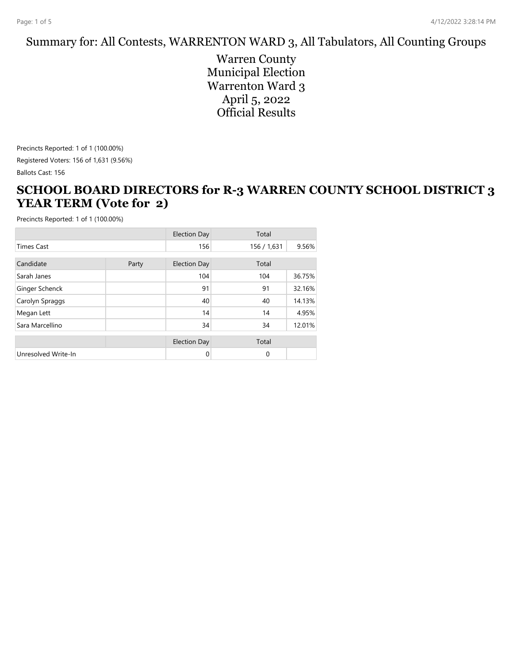#### Summary for: All Contests, WARRENTON WARD 3, All Tabulators, All Counting Groups

Warren County Municipal Election Warrenton Ward 3 April 5, 2022 Official Results

Precincts Reported: 1 of 1 (100.00%) Registered Voters: 156 of 1,631 (9.56%) Ballots Cast: 156

#### **SCHOOL BOARD DIRECTORS for R-3 WARREN COUNTY SCHOOL DISTRICT 3 YEAR TERM (Vote for 2)**

|                     |       | <b>Election Day</b> | Total       |        |
|---------------------|-------|---------------------|-------------|--------|
| <b>Times Cast</b>   |       | 156                 | 156 / 1,631 | 9.56%  |
| Candidate           | Party | <b>Election Day</b> | Total       |        |
| Sarah Janes         |       | 104                 | 104         | 36.75% |
| Ginger Schenck      |       | 91                  | 91          | 32.16% |
| Carolyn Spraggs     |       | 40                  | 40          | 14.13% |
| Megan Lett          |       | 14                  | 14          | 4.95%  |
| Sara Marcellino     |       | 34                  | 34          | 12.01% |
|                     |       | <b>Election Day</b> | Total       |        |
| Unresolved Write-In |       | 0                   | $\mathbf 0$ |        |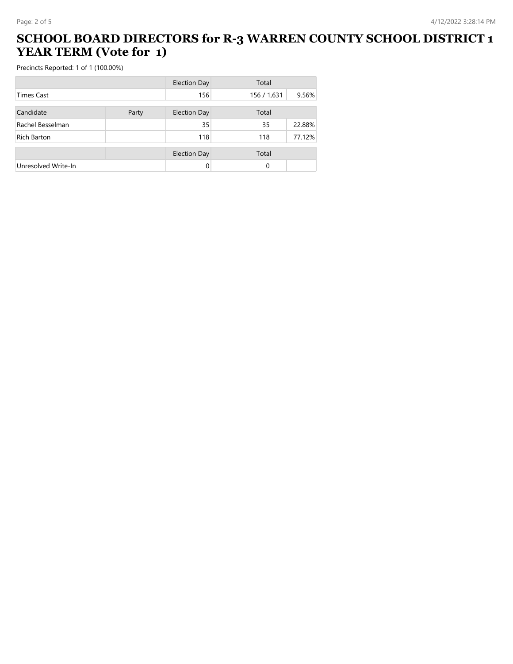#### **SCHOOL BOARD DIRECTORS for R-3 WARREN COUNTY SCHOOL DISTRICT 1 YEAR TERM (Vote for 1)**

|                     |       | <b>Election Day</b> | Total       |        |
|---------------------|-------|---------------------|-------------|--------|
| <b>Times Cast</b>   |       | 156                 | 156 / 1,631 | 9.56%  |
| Candidate           | Party | <b>Election Day</b> | Total       |        |
| Rachel Besselman    |       | 35                  | 35          | 22.88% |
| Rich Barton         |       | 118                 | 118         | 77.12% |
|                     |       | <b>Election Day</b> | Total       |        |
| Unresolved Write-In |       |                     | 0           |        |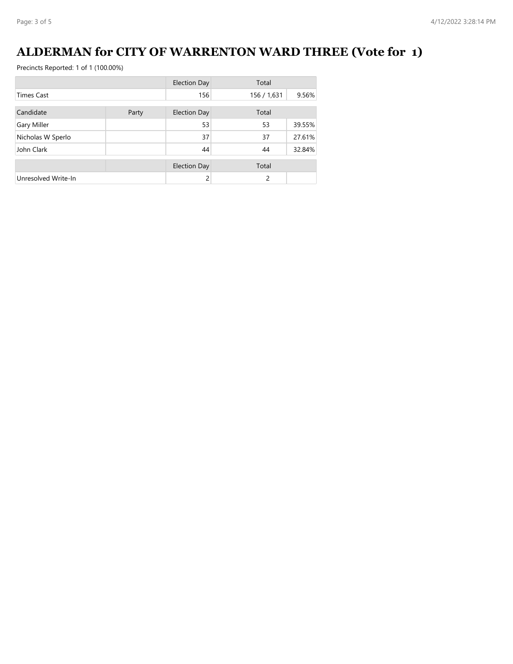# **ALDERMAN for CITY OF WARRENTON WARD THREE (Vote for 1)**

|                     |       | <b>Election Day</b> | Total       |        |
|---------------------|-------|---------------------|-------------|--------|
| <b>Times Cast</b>   |       | 156                 | 156 / 1,631 | 9.56%  |
| Candidate           | Party | <b>Election Day</b> | Total       |        |
| Gary Miller         |       | 53                  | 53          | 39.55% |
| Nicholas W Sperlo   |       | 37                  | 37          | 27.61% |
| John Clark          |       | 44                  | 44          | 32.84% |
|                     |       | <b>Election Day</b> | Total       |        |
| Unresolved Write-In |       | $\mathcal{P}$       | 2           |        |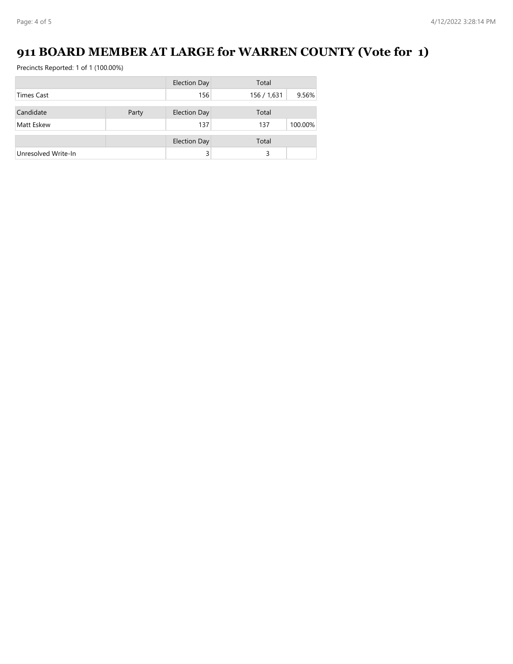# **911 BOARD MEMBER AT LARGE for WARREN COUNTY (Vote for 1)**

|                     |       | <b>Election Day</b> | Total       |         |
|---------------------|-------|---------------------|-------------|---------|
| <b>Times Cast</b>   |       | 156                 | 156 / 1,631 | 9.56%   |
| Candidate           |       | <b>Election Day</b> | Total       |         |
|                     | Party |                     |             |         |
| Matt Eskew          |       | 137                 | 137         | 100.00% |
|                     |       | <b>Election Day</b> | Total       |         |
| Unresolved Write-In |       |                     | 3           |         |